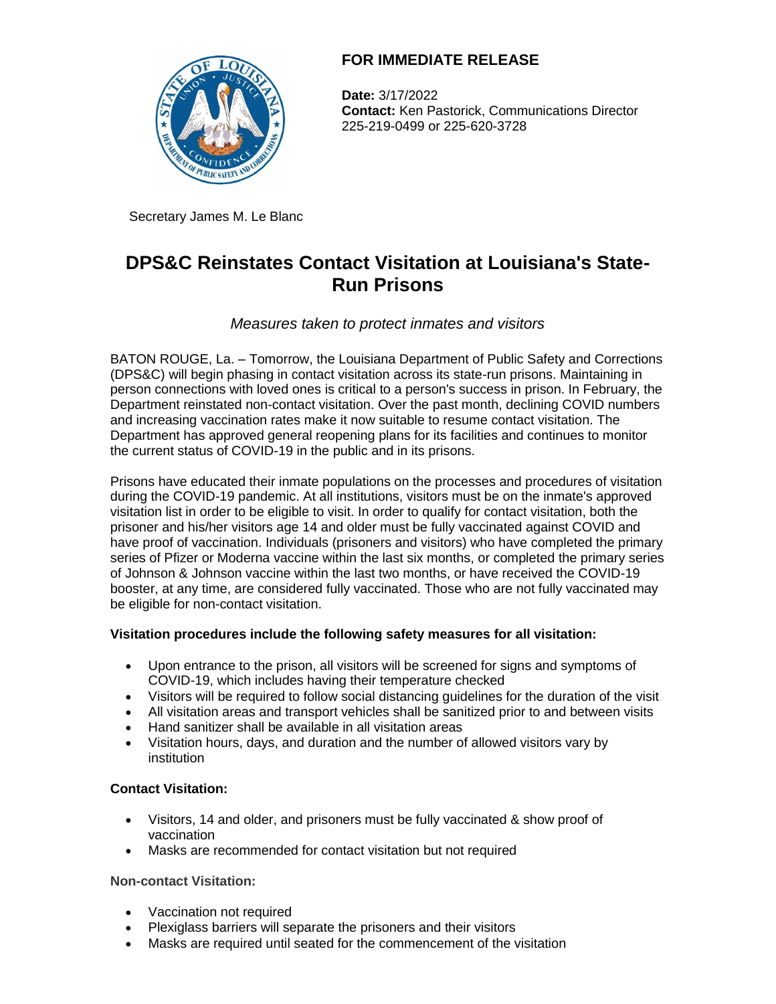

# **FOR IMMEDIATE RELEASE**

**Date:** 3/17/2022 **Contact:** Ken Pastorick, Communications Director 225-219-0499 or 225-620-3728

Secretary James M. Le Blanc

# **DPS&C Reinstates Contact Visitation at Louisiana's State-Run Prisons**

*Measures taken to protect inmates and visitors*

BATON ROUGE, La. – Tomorrow, the Louisiana Department of Public Safety and Corrections (DPS&C) will begin phasing in contact visitation across its state-run prisons. Maintaining in person connections with loved ones is critical to a person's success in prison. In February, the Department reinstated non-contact visitation. Over the past month, declining COVID numbers and increasing vaccination rates make it now suitable to resume contact visitation. The Department has approved general reopening plans for its facilities and continues to monitor the current status of COVID-19 in the public and in its prisons.

Prisons have educated their inmate populations on the processes and procedures of visitation during the COVID-19 pandemic. At all institutions, visitors must be on the inmate's approved visitation list in order to be eligible to visit. In order to qualify for contact visitation, both the prisoner and his/her visitors age 14 and older must be fully vaccinated against COVID and have proof of vaccination. Individuals (prisoners and visitors) who have completed the primary series of Pfizer or Moderna vaccine within the last six months, or completed the primary series of Johnson & Johnson vaccine within the last two months, or have received the COVID-19 booster, at any time, are considered fully vaccinated. Those who are not fully vaccinated may be eligible for non-contact visitation.

# **Visitation procedures include the following safety measures for all visitation:**

- Upon entrance to the prison, all visitors will be screened for signs and symptoms of COVID-19, which includes having their temperature checked
- Visitors will be required to follow social distancing guidelines for the duration of the visit
- All visitation areas and transport vehicles shall be sanitized prior to and between visits
- Hand sanitizer shall be available in all visitation areas
- Visitation hours, days, and duration and the number of allowed visitors vary by institution

# **Contact Visitation:**

- Visitors, 14 and older, and prisoners must be fully vaccinated & show proof of vaccination
- Masks are recommended for contact visitation but not required

## **Non-contact Visitation:**

- Vaccination not required
- Plexiglass barriers will separate the prisoners and their visitors
- Masks are required until seated for the commencement of the visitation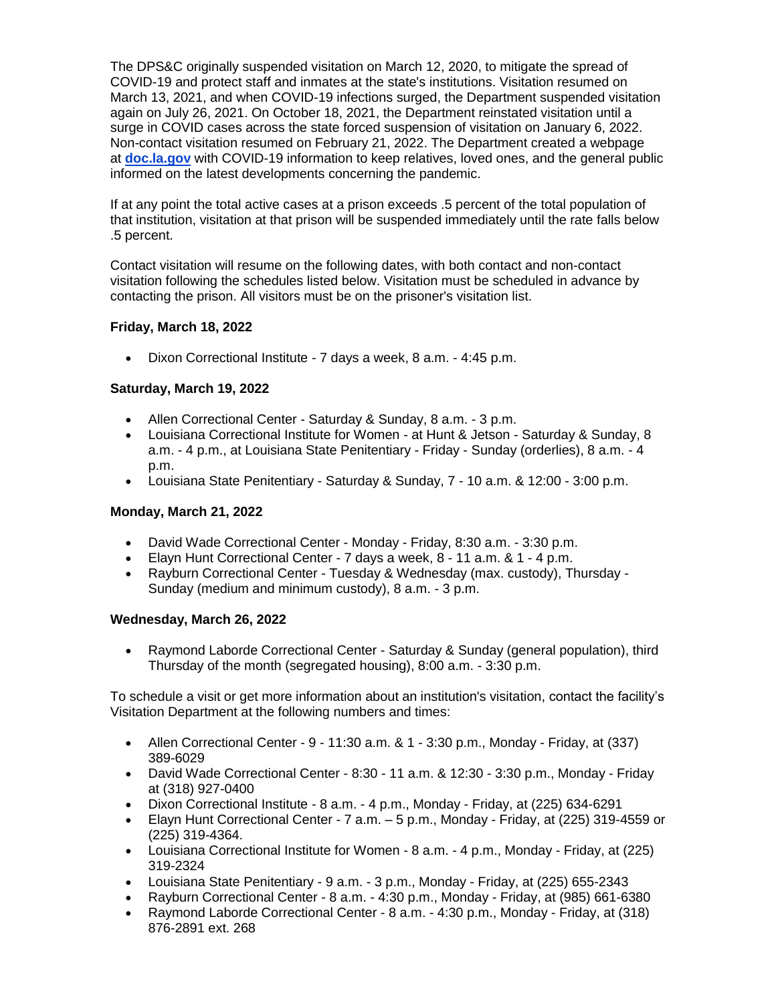The DPS&C originally suspended visitation on March 12, 2020, to mitigate the spread of COVID-19 and protect staff and inmates at the state's institutions. Visitation resumed on March 13, 2021, and when COVID-19 infections surged, the Department suspended visitation again on July 26, 2021. On October 18, 2021, the Department reinstated visitation until a surge in COVID cases across the state forced suspension of visitation on January 6, 2022. Non-contact visitation resumed on February 21, 2022. The Department created a webpage at **[doc.la.gov](http://doc.la.gov/)** with COVID-19 information to keep relatives, loved ones, and the general public informed on the latest developments concerning the pandemic.

If at any point the total active cases at a prison exceeds .5 percent of the total population of that institution, visitation at that prison will be suspended immediately until the rate falls below .5 percent.

Contact visitation will resume on the following dates, with both contact and non-contact visitation following the schedules listed below. Visitation must be scheduled in advance by contacting the prison. All visitors must be on the prisoner's visitation list.

### **Friday, March 18, 2022**

Dixon Correctional Institute - 7 days a week, 8 a.m. - 4:45 p.m.

### **Saturday, March 19, 2022**

- Allen Correctional Center Saturday & Sunday, 8 a.m. 3 p.m.
- Louisiana Correctional Institute for Women at Hunt & Jetson Saturday & Sunday, 8 a.m. - 4 p.m., at Louisiana State Penitentiary - Friday - Sunday (orderlies), 8 a.m. - 4 p.m.
- Louisiana State Penitentiary Saturday & Sunday, 7 10 a.m. & 12:00 3:00 p.m.

#### **Monday, March 21, 2022**

- David Wade Correctional Center Monday Friday, 8:30 a.m. 3:30 p.m.
- Elayn Hunt Correctional Center 7 days a week, 8 11 a.m. & 1 4 p.m.
- Rayburn Correctional Center Tuesday & Wednesday (max. custody), Thursday Sunday (medium and minimum custody), 8 a.m. - 3 p.m.

#### **Wednesday, March 26, 2022**

 Raymond Laborde Correctional Center - Saturday & Sunday (general population), third Thursday of the month (segregated housing), 8:00 a.m. - 3:30 p.m.

To schedule a visit or get more information about an institution's visitation, contact the facility's Visitation Department at the following numbers and times:

- Allen Correctional Center  $9 11:30$  a.m.  $8 \text{ 1}$   $3:30$  p.m., Monday Friday, at (337) 389-6029
- David Wade Correctional Center 8:30 11 a.m. & 12:30 3:30 p.m., Monday Friday at (318) 927-0400
- Dixon Correctional Institute 8 a.m. 4 p.m., Monday Friday, at (225) 634-6291
- Elayn Hunt Correctional Center 7 a.m. 5 p.m., Monday Friday, at (225) 319-4559 or (225) 319-4364.
- Louisiana Correctional Institute for Women 8 a.m. 4 p.m., Monday Friday, at (225) 319-2324
- Louisiana State Penitentiary 9 a.m. 3 p.m., Monday Friday, at (225) 655-2343
- Rayburn Correctional Center 8 a.m. 4:30 p.m., Monday Friday, at (985) 661-6380
- Raymond Laborde Correctional Center 8 a.m. 4:30 p.m., Monday Friday, at (318) 876-2891 ext. 268